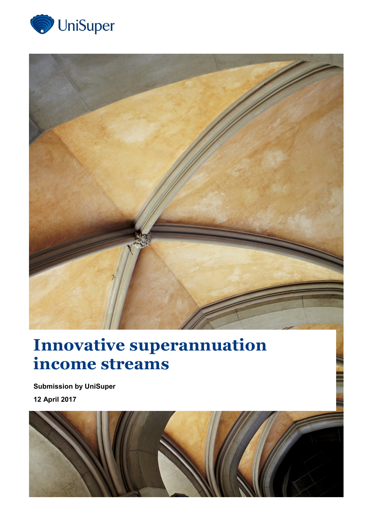



# **Innovative superannuation income streams**

**Submission by UniSuper 12 April 2017**

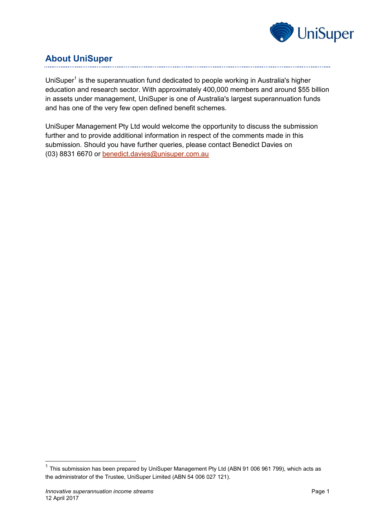

## **About UniSuper**

UniSuper<sup>1</sup> is the superannuation fund dedicated to people working in Australia's higher education and research sector. With approximately 400,000 members and around \$55 billion in assets under management, UniSuper is one of Australia's largest superannuation funds and has one of the very few open defined benefit schemes.

UniSuper Management Pty Ltd would welcome the opportunity to discuss the submission further and to provide additional information in respect of the comments made in this submission. Should you have further queries, please contact Benedict Davies on (03) 8831 6670 or [benedict.davies@unisuper.com.au](mailto:benedict.davies@unisuper.com.au)

-

 $1$  This submission has been prepared by UniSuper Management Pty Ltd (ABN 91 006 961 799), which acts as the administrator of the Trustee, UniSuper Limited (ABN 54 006 027 121).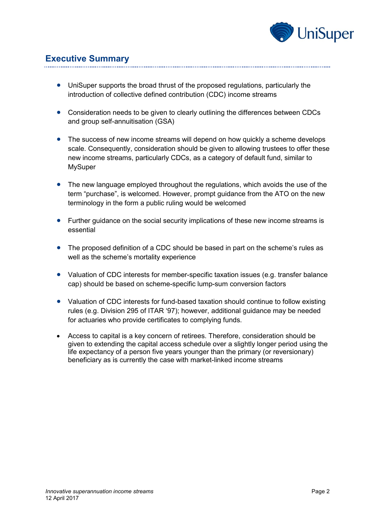

## **Executive Summary**

- UniSuper supports the broad thrust of the proposed regulations, particularly the introduction of collective defined contribution (CDC) income streams
- Consideration needs to be given to clearly outlining the differences between CDCs and group self-annuitisation (GSA)
- The success of new income streams will depend on how quickly a scheme develops scale. Consequently, consideration should be given to allowing trustees to offer these new income streams, particularly CDCs, as a category of default fund, similar to MySuper
- The new language employed throughout the regulations, which avoids the use of the term "purchase", is welcomed. However, prompt guidance from the ATO on the new terminology in the form a public ruling would be welcomed
- Further guidance on the social security implications of these new income streams is essential
- The proposed definition of a CDC should be based in part on the scheme's rules as well as the scheme's mortality experience
- Valuation of CDC interests for member-specific taxation issues (e.g. transfer balance cap) should be based on scheme-specific lump-sum conversion factors
- Valuation of CDC interests for fund-based taxation should continue to follow existing rules (e.g. Division 295 of ITAR '97); however, additional guidance may be needed for actuaries who provide certificates to complying funds.
- Access to capital is a key concern of retirees. Therefore, consideration should be given to extending the capital access schedule over a slightly longer period using the life expectancy of a person five years younger than the primary (or reversionary) beneficiary as is currently the case with market-linked income streams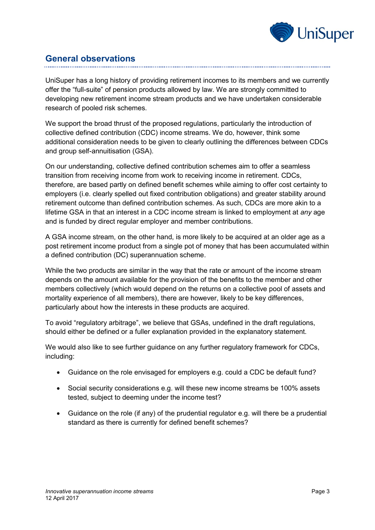

## **General observations**

UniSuper has a long history of providing retirement incomes to its members and we currently offer the "full-suite" of pension products allowed by law. We are strongly committed to developing new retirement income stream products and we have undertaken considerable research of pooled risk schemes.

We support the broad thrust of the proposed regulations, particularly the introduction of collective defined contribution (CDC) income streams. We do, however, think some additional consideration needs to be given to clearly outlining the differences between CDCs and group self-annuitisation (GSA).

On our understanding, collective defined contribution schemes aim to offer a seamless transition from receiving income from work to receiving income in retirement. CDCs, therefore, are based partly on defined benefit schemes while aiming to offer cost certainty to employers (i.e. clearly spelled out fixed contribution obligations) and greater stability around retirement outcome than defined contribution schemes. As such, CDCs are more akin to a lifetime GSA in that an interest in a CDC income stream is linked to employment at *any* age and is funded by direct regular employer and member contributions.

A GSA income stream, on the other hand, is more likely to be acquired at an older age as a post retirement income product from a single pot of money that has been accumulated within a defined contribution (DC) superannuation scheme.

While the two products are similar in the way that the rate or amount of the income stream depends on the amount available for the provision of the benefits to the member and other members collectively (which would depend on the returns on a collective pool of assets and mortality experience of all members), there are however, likely to be key differences, particularly about how the interests in these products are acquired.

To avoid "regulatory arbitrage", we believe that GSAs, undefined in the draft regulations, should either be defined or a fuller explanation provided in the explanatory statement.

We would also like to see further guidance on any further regulatory framework for CDCs, including:

- Guidance on the role envisaged for employers e.g. could a CDC be default fund?
- Social security considerations e.g. will these new income streams be 100% assets tested, subject to deeming under the income test?
- Guidance on the role (if any) of the prudential regulator e.g. will there be a prudential standard as there is currently for defined benefit schemes?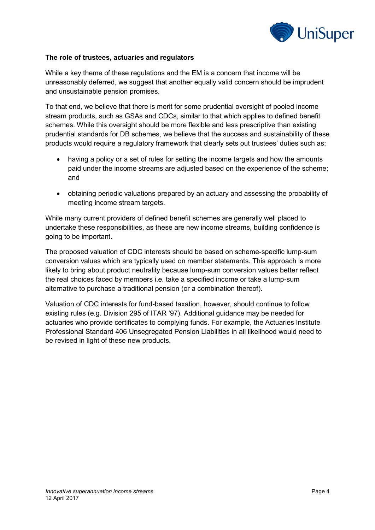

#### **The role of trustees, actuaries and regulators**

While a key theme of these regulations and the EM is a concern that income will be unreasonably deferred, we suggest that another equally valid concern should be imprudent and unsustainable pension promises.

To that end, we believe that there is merit for some prudential oversight of pooled income stream products, such as GSAs and CDCs, similar to that which applies to defined benefit schemes. While this oversight should be more flexible and less prescriptive than existing prudential standards for DB schemes, we believe that the success and sustainability of these products would require a regulatory framework that clearly sets out trustees' duties such as:

- having a policy or a set of rules for setting the income targets and how the amounts paid under the income streams are adjusted based on the experience of the scheme; and
- obtaining periodic valuations prepared by an actuary and assessing the probability of meeting income stream targets.

While many current providers of defined benefit schemes are generally well placed to undertake these responsibilities, as these are new income streams, building confidence is going to be important.

The proposed valuation of CDC interests should be based on scheme-specific lump-sum conversion values which are typically used on member statements. This approach is more likely to bring about product neutrality because lump-sum conversion values better reflect the real choices faced by members i.e. take a specified income or take a lump-sum alternative to purchase a traditional pension (or a combination thereof).

Valuation of CDC interests for fund-based taxation, however, should continue to follow existing rules (e.g. Division 295 of ITAR '97). Additional guidance may be needed for actuaries who provide certificates to complying funds. For example, the Actuaries Institute Professional Standard 406 Unsegregated Pension Liabilities in all likelihood would need to be revised in light of these new products.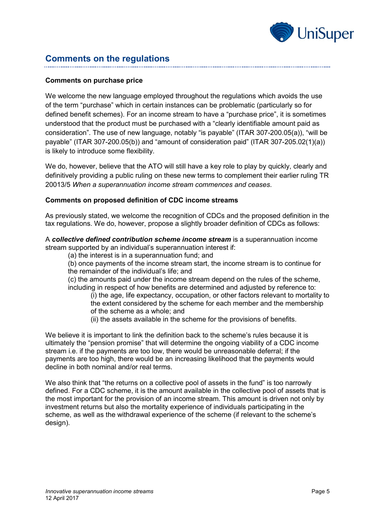

## **Comments on the regulations**

#### **Comments on purchase price**

We welcome the new language employed throughout the regulations which avoids the use of the term "purchase" which in certain instances can be problematic (particularly so for defined benefit schemes). For an income stream to have a "purchase price", it is sometimes understood that the product must be purchased with a "clearly identifiable amount paid as consideration". The use of new language, notably "is payable" (ITAR 307-200.05(a)), "will be payable" (ITAR 307-200.05(b)) and "amount of consideration paid" (ITAR 307-205.02(1)(a)) is likely to introduce some flexibility.

We do, however, believe that the ATO will still have a key role to play by quickly, clearly and definitively providing a public ruling on these new terms to complement their earlier ruling TR 20013/5 *When a superannuation income stream commences and ceases*.

#### **Comments on proposed definition of CDC income streams**

As previously stated, we welcome the recognition of CDCs and the proposed definition in the tax regulations. We do, however, propose a slightly broader definition of CDCs as follows:

A *collective defined contribution scheme income stream* is a superannuation income stream supported by an individual's superannuation interest if:

(a) the interest is in a superannuation fund; and

(b) once payments of the income stream start, the income stream is to continue for the remainder of the individual's life; and

(c) the amounts paid under the income stream depend on the rules of the scheme, including in respect of how benefits are determined and adjusted by reference to:

(i) the age, life expectancy, occupation, or other factors relevant to mortality to the extent considered by the scheme for each member and the membership of the scheme as a whole; and

(ii) the assets available in the scheme for the provisions of benefits.

We believe it is important to link the definition back to the scheme's rules because it is ultimately the "pension promise" that will determine the ongoing viability of a CDC income stream i.e. if the payments are too low, there would be unreasonable deferral; if the payments are too high, there would be an increasing likelihood that the payments would decline in both nominal and/or real terms.

We also think that "the returns on a collective pool of assets in the fund" is too narrowly defined. For a CDC scheme, it is the amount available in the collective pool of assets that is the most important for the provision of an income stream. This amount is driven not only by investment returns but also the mortality experience of individuals participating in the scheme, as well as the withdrawal experience of the scheme (if relevant to the scheme's design).